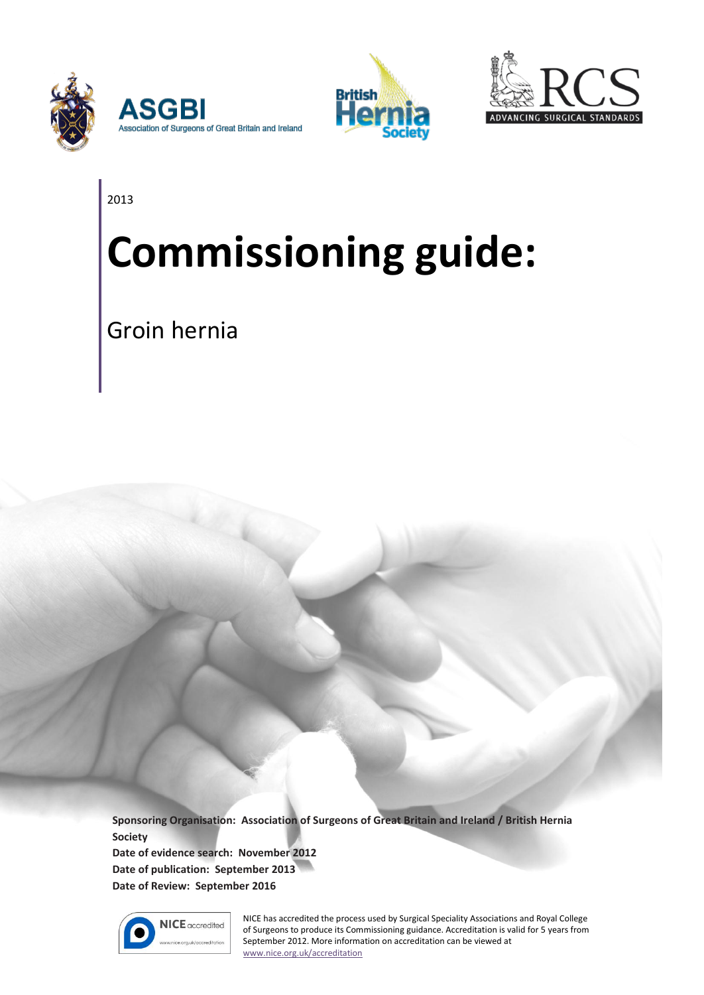





2013

# **Commissioning guide:**

Groin hernia

**Sponsoring Organisation: Association of Surgeons of Great Britain and Ireland / British Hernia Society**

**Date of evidence search: November 2012 Date of publication: September 2013 Date of Review: September 2016**



NICE has accredited the process used by Surgical Speciality Associations and Royal College of Surgeons to produce its Commissioning guidance. Accreditation is valid for 5 years from September 2012. More information on accreditation can be viewed at [www.nice.org.uk/accreditation](http://www.nice.org.uk/accreditation)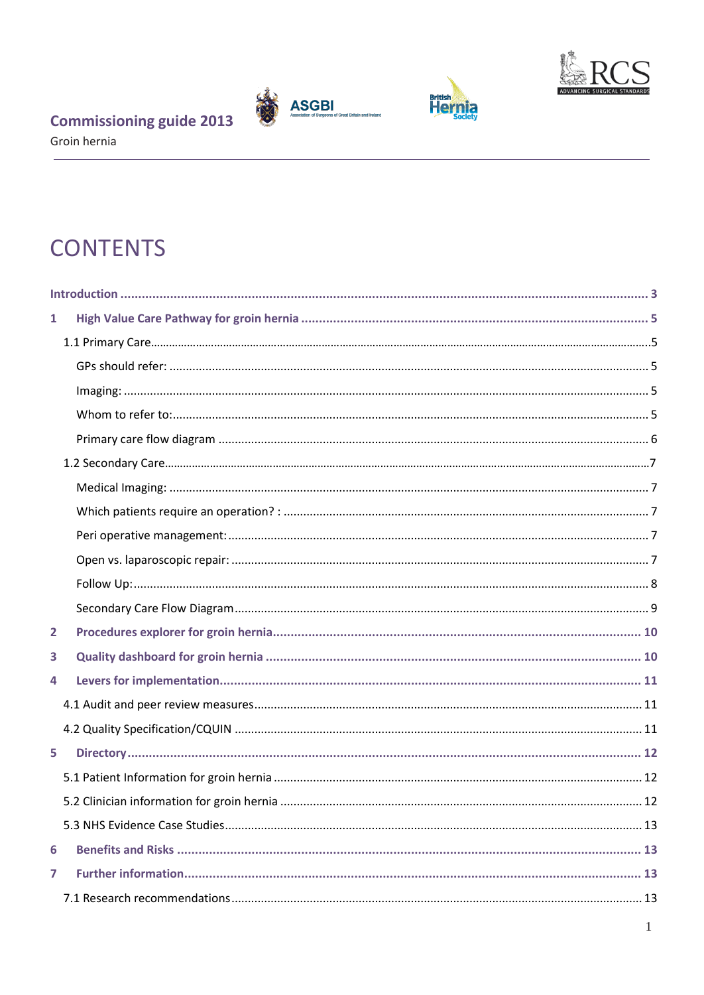





Groin hernia

# **CONTENTS**

| 1              |  |
|----------------|--|
|                |  |
|                |  |
|                |  |
|                |  |
|                |  |
|                |  |
|                |  |
|                |  |
|                |  |
|                |  |
|                |  |
|                |  |
| $\overline{2}$ |  |
| 3              |  |
| 4              |  |
|                |  |
|                |  |
| 5              |  |
|                |  |
|                |  |
|                |  |
| 6              |  |
| $\overline{ }$ |  |
|                |  |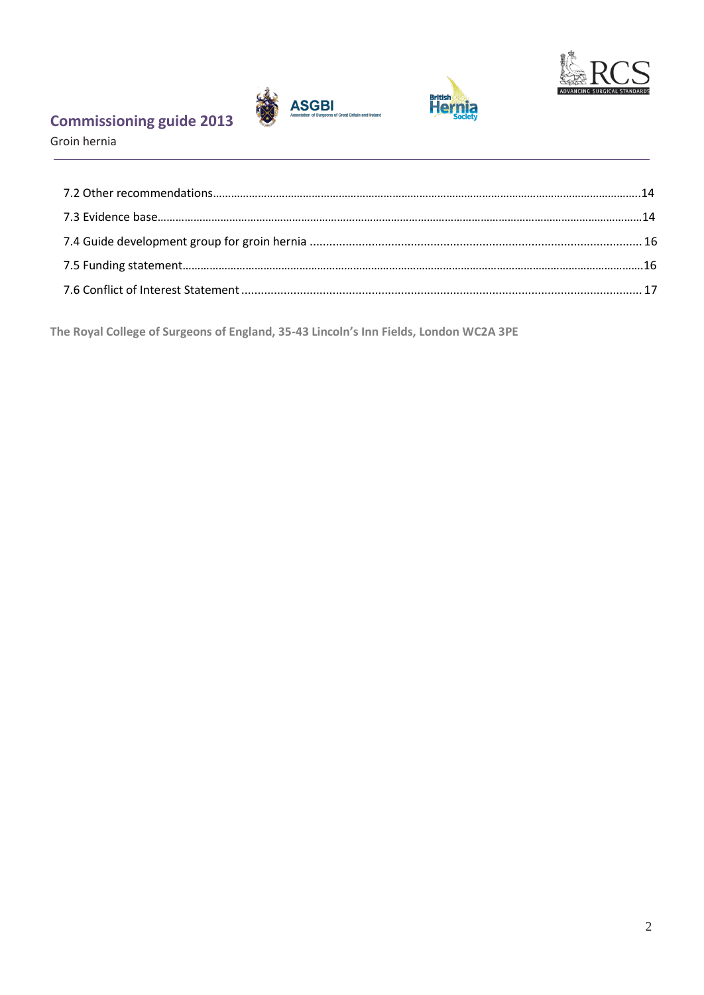





Groin hernia

**The Royal College of Surgeons of England, 35-43 Lincoln's Inn Fields, London WC2A 3PE**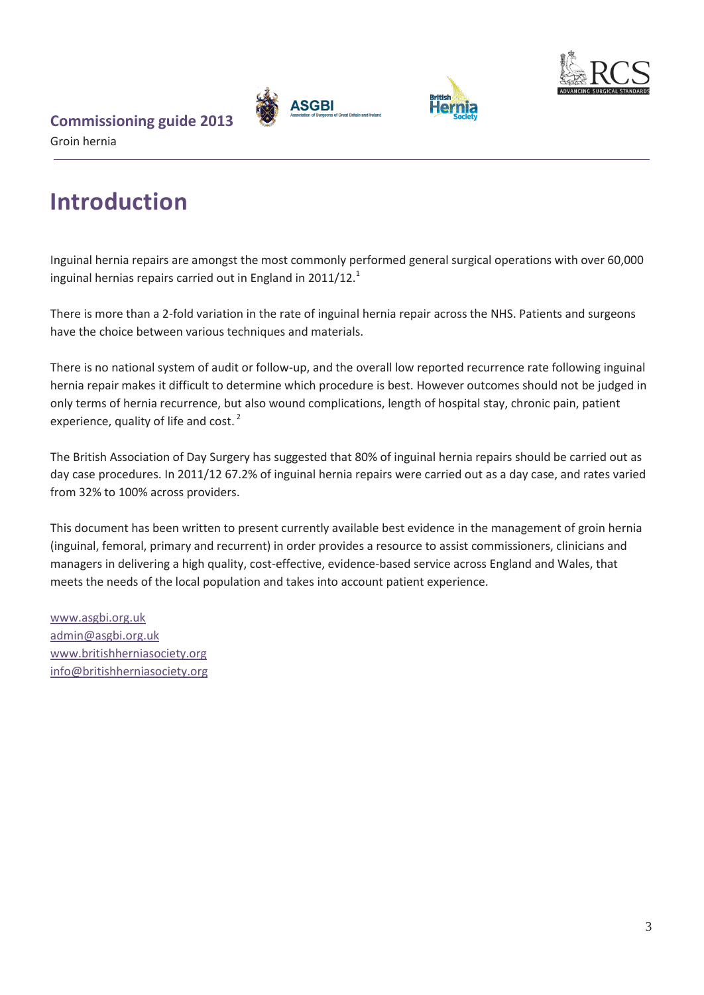





#### Groin hernia

# <span id="page-3-0"></span>**Introduction**

Inguinal hernia repairs are amongst the most commonly performed general surgical operations with over 60,000 inguinal hernias repairs carried out in England in 2011/12. $^1$ 

There is more than a 2-fold variation in the rate of inguinal hernia repair across the NHS. Patients and surgeons have the choice between various techniques and materials.

There is no national system of audit or follow-up, and the overall low reported recurrence rate following inguinal hernia repair makes it difficult to determine which procedure is best. However outcomes should not be judged in only terms of hernia recurrence, but also wound complications, length of hospital stay, chronic pain, patient experience, quality of life and cost.<sup>2</sup>

The British Association of Day Surgery has suggested that 80% of inguinal hernia repairs should be carried out as day case procedures. In 2011/12 67.2% of inguinal hernia repairs were carried out as a day case, and rates varied from 32% to 100% across providers.

This document has been written to present currently available best evidence in the management of groin hernia (inguinal, femoral, primary and recurrent) in order provides a resource to assist commissioners, clinicians and managers in delivering a high quality, cost-effective, evidence-based service across England and Wales, that meets the needs of the local population and takes into account patient experience.

[www.asgbi.org.uk](http://www.asgbi.org.uk/) [admin@asgbi.org.uk](mailto:admin@asgbi.org.uk) [www.britishherniasociety.org](http://www.britishherniasociety.org/) [info@britishherniasociety.org](mailto:info@britishherniasociety.org)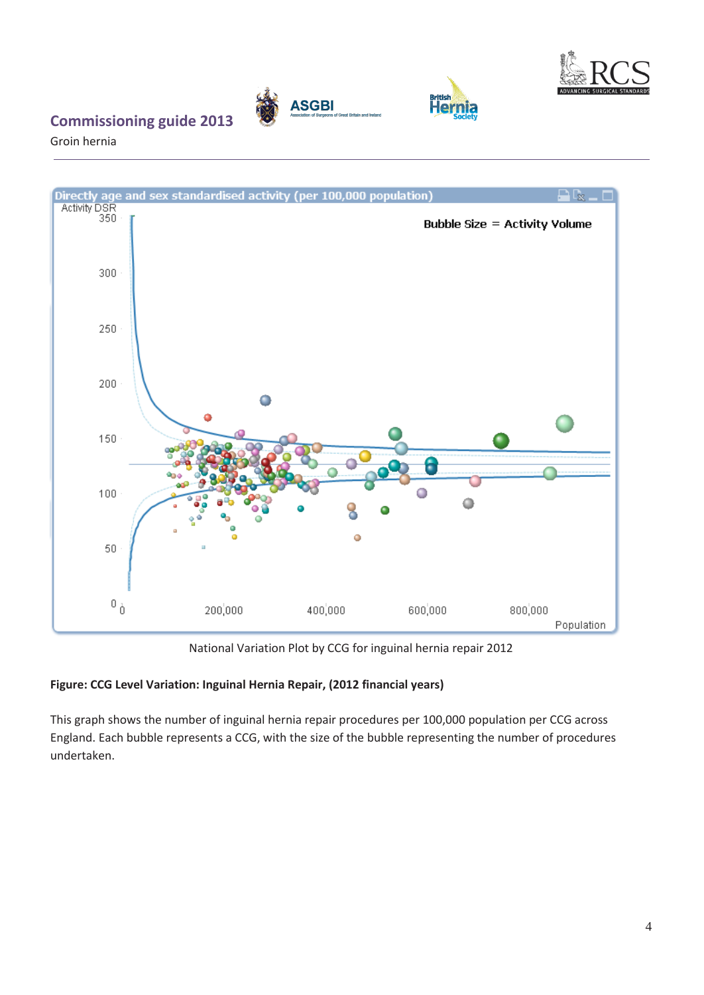

**British**<br>Hern

#### **Commissioning guide 2013**

Groin hernia



**ASGBI** 

National Variation Plot by CCG for inguinal hernia repair 2012

#### **Figure: CCG Level Variation: Inguinal Hernia Repair, (2012 financial years)**

This graph shows the number of inguinal hernia repair procedures per 100,000 population per CCG across England. Each bubble represents a CCG, with the size of the bubble representing the number of procedures undertaken.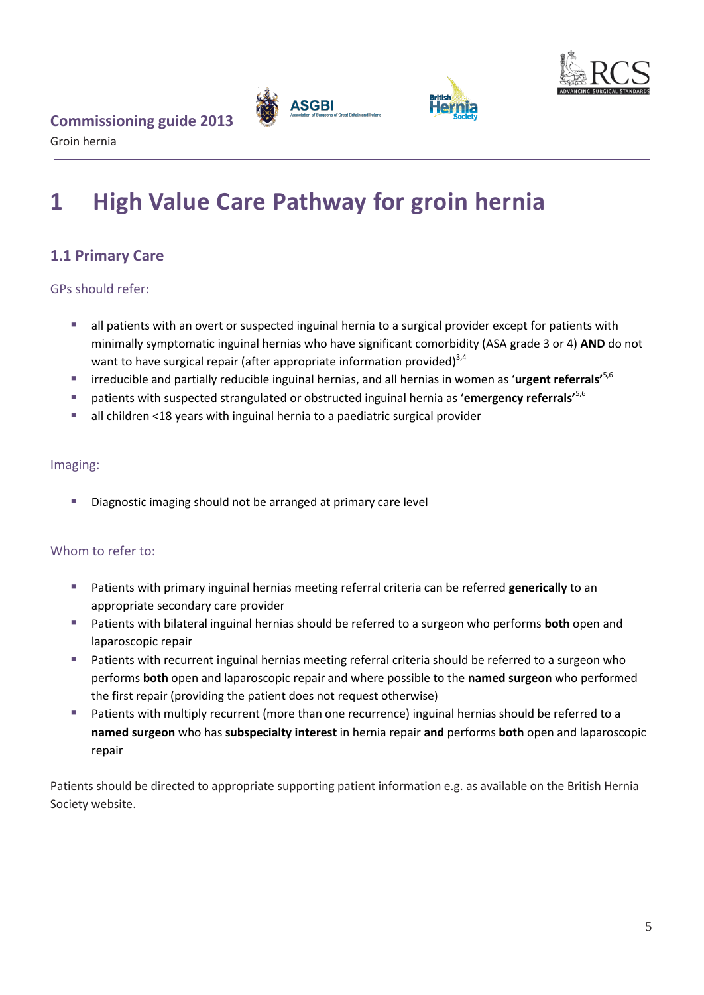



Groin hernia

# <span id="page-5-0"></span>**1 High Value Care Pathway for groin hernia**

#### <span id="page-5-1"></span>**1.1 Primary Care**

<span id="page-5-2"></span>GPs should refer:

- **a** all patients with an overt or suspected inguinal hernia to a surgical provider except for patients with minimally symptomatic inguinal hernias who have significant comorbidity (ASA grade 3 or 4) **AND** do not want to have surgical repair (after appropriate information provided) $3,4$
- irreducible and partially reducible inguinal hernias, and all hernias in women as '**urgent referrals'**5,6
- patients with suspected strangulated or obstructed inguinal hernia as '**emergency referrals'**5,6
- all children <18 years with inguinal hernia to a paediatric surgical provider

#### <span id="page-5-3"></span>Imaging:

Diagnostic imaging should not be arranged at primary care level

#### <span id="page-5-4"></span>Whom to refer to:

- Patients with primary inguinal hernias meeting referral criteria can be referred **generically** to an appropriate secondary care provider
- Patients with bilateral inguinal hernias should be referred to a surgeon who performs **both** open and laparoscopic repair
- Patients with recurrent inguinal hernias meeting referral criteria should be referred to a surgeon who performs **both** open and laparoscopic repair and where possible to the **named surgeon** who performed the first repair (providing the patient does not request otherwise)
- Patients with multiply recurrent (more than one recurrence) inguinal hernias should be referred to a **named surgeon** who has **subspecialty interest** in hernia repair **and** performs **both** open and laparoscopic repair

Patients should be directed to appropriate supporting patient information e.g. as available on the British Hernia Society website.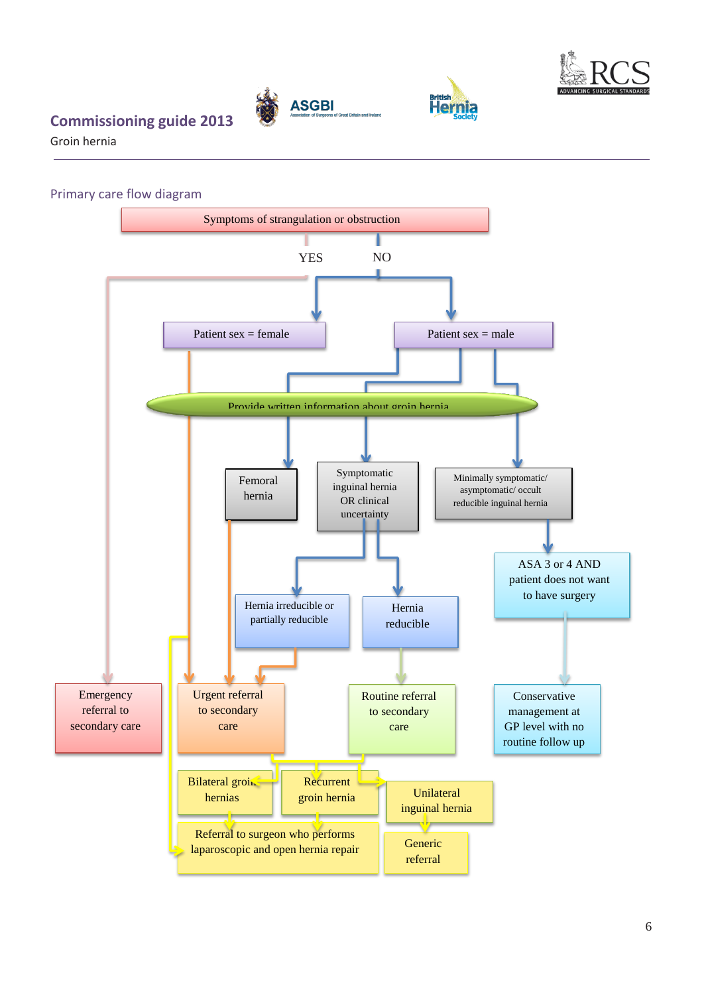

**British** 

#### **Commissioning guide 2013**

Groin hernia

<span id="page-6-0"></span>Primary care flow diagram



**ASGBI**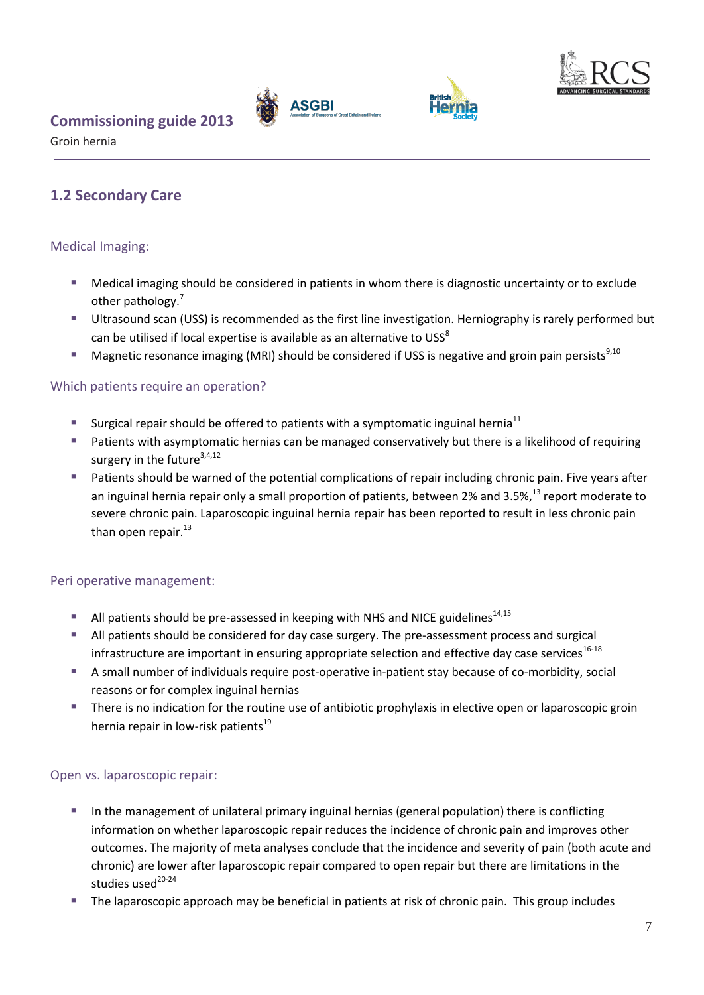





Groin hernia

#### <span id="page-7-0"></span>**1.2 Secondary Care**

#### <span id="page-7-1"></span>Medical Imaging:

- Medical imaging should be considered in patients in whom there is diagnostic uncertainty or to exclude other pathology.<sup>7</sup>
- Ultrasound scan (USS) is recommended as the first line investigation. Herniography is rarely performed but can be utilised if local expertise is available as an alternative to USS $^8$
- **Magnetic resonance imaging (MRI) should be considered if USS is negative and groin pain persists**<sup>9,10</sup>

#### <span id="page-7-2"></span>Which patients require an operation?

- Surgical repair should be offered to patients with a symptomatic inguinal hernia<sup>11</sup>
- **Patients with asymptomatic hernias can be managed conservatively but there is a likelihood of requiring** surgery in the future<sup>3,4,12</sup>
- **Patients should be warned of the potential complications of repair including chronic pain. Five years after** an inguinal hernia repair only a small proportion of patients, between 2% and 3.5%,<sup>13</sup> report moderate to severe chronic pain. Laparoscopic inguinal hernia repair has been reported to result in less chronic pain than open repair.<sup>13</sup>

#### <span id="page-7-3"></span>Peri operative management:

- All patients should be pre-assessed in keeping with NHS and NICE guidelines $^{14,15}$
- All patients should be considered for day case surgery. The pre-assessment process and surgical infrastructure are important in ensuring appropriate selection and effective day case services $^{16-18}$
- A small number of individuals require post-operative in-patient stay because of co-morbidity, social reasons or for complex inguinal hernias
- **There is no indication for the routine use of antibiotic prophylaxis in elective open or laparoscopic groin** hernia repair in low-risk patients<sup>19</sup>

#### <span id="page-7-4"></span>Open vs. laparoscopic repair:

- In the management of unilateral primary inguinal hernias (general population) there is conflicting information on whether laparoscopic repair reduces the incidence of chronic pain and improves other outcomes. The majority of meta analyses conclude that the incidence and severity of pain (both acute and chronic) are lower after laparoscopic repair compared to open repair but there are limitations in the studies used<sup>20-24</sup>
- The laparoscopic approach may be beneficial in patients at risk of chronic pain. This group includes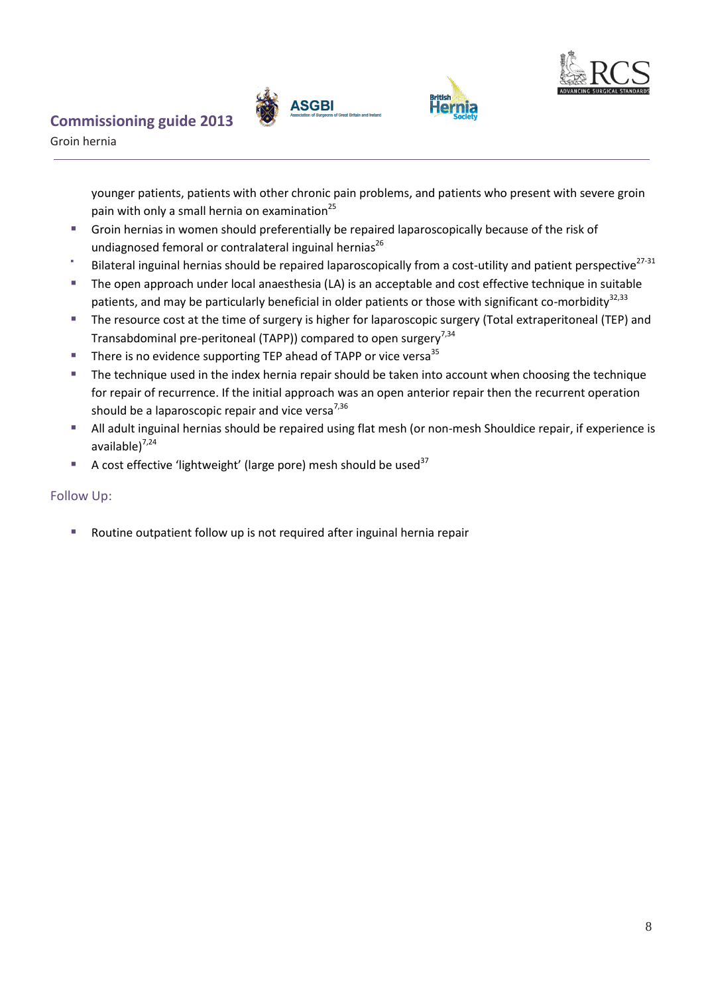





Groin hernia

younger patients, patients with other chronic pain problems, and patients who present with severe groin pain with only a small hernia on examination $^{25}$ 

- Groin hernias in women should preferentially be repaired laparoscopically because of the risk of undiagnosed femoral or contralateral inguinal hernias<sup>26</sup>
- F Bilateral inguinal hernias should be repaired laparoscopically from a cost-utility and patient perspective<sup>27-31</sup>
- The open approach under local anaesthesia (LA) is an acceptable and cost effective technique in suitable patients, and may be particularly beneficial in older patients or those with significant co-morbidity<sup>32,33</sup>
- The resource cost at the time of surgery is higher for laparoscopic surgery (Total extraperitoneal (TEP) and Transabdominal pre-peritoneal (TAPP)) compared to open surgery<sup>7,34</sup>
- **There is no evidence supporting TEP ahead of TAPP or vice versa**<sup>35</sup>
- **The technique used in the index hernia repair should be taken into account when choosing the technique** for repair of recurrence. If the initial approach was an open anterior repair then the recurrent operation should be a laparoscopic repair and vice versa $^{7,36}$
- All adult inguinal hernias should be repaired using flat mesh (or non-mesh Shouldice repair, if experience is available $)^{7,24}$
- A cost effective 'lightweight' (large pore) mesh should be used<sup>37</sup>

#### <span id="page-8-0"></span>Follow Up:

Routine outpatient follow up is not required after inguinal hernia repair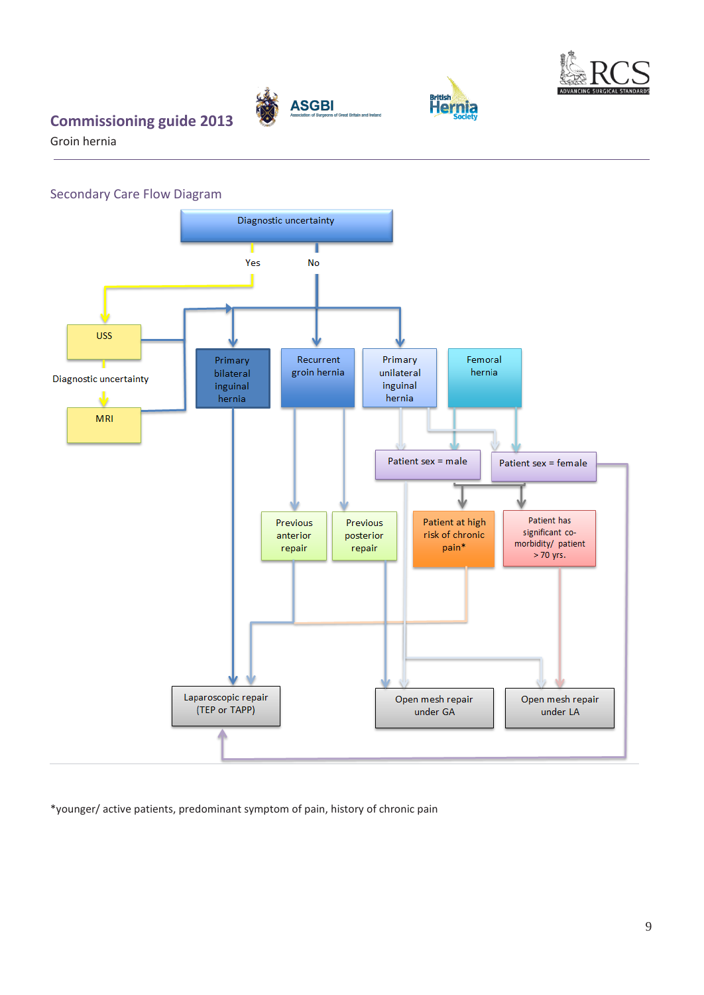

**British**<br>Hernia

#### **Commissioning guide 2013**

Groin hernia

<span id="page-9-0"></span>



**ASGBI** 

\*younger/ active patients, predominant symptom of pain, history of chronic pain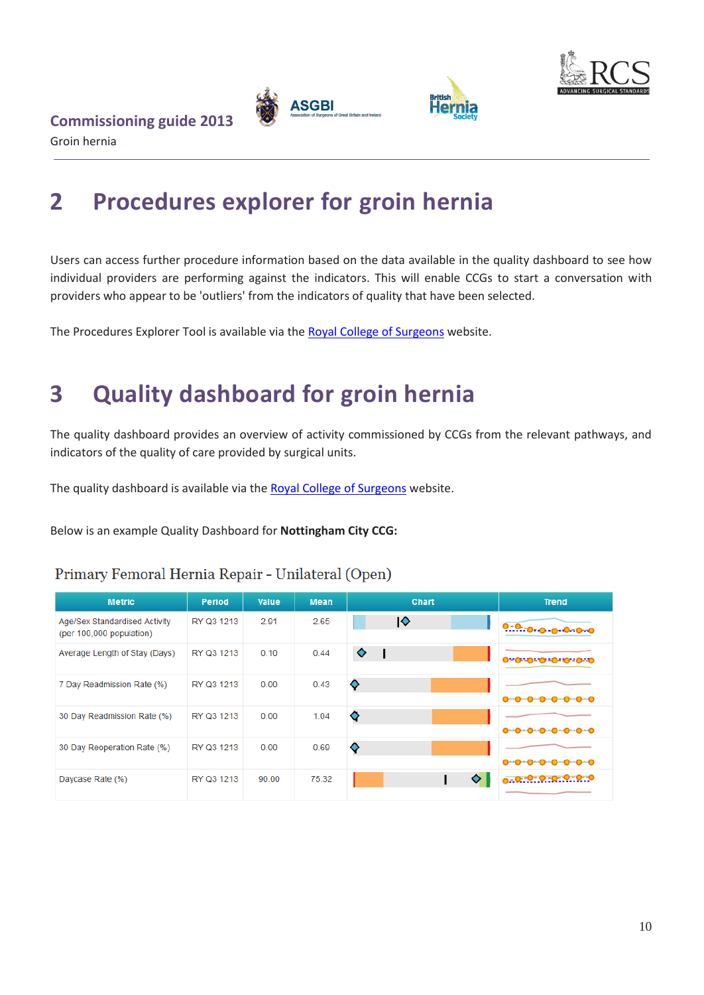



#### Groin hernia

**Commissioning guide 2013** 

# <span id="page-10-0"></span>**2 Procedures explorer for groin hernia**

Users can access further procedure information based on the data available in the quality dashboard to see how individual providers are performing against the indicators. This will enable CCGs to start a conversation with providers who appear to be 'outliers' from the indicators of quality that have been selected.

**British**<br>Hern

The Procedures Explorer Tool is available via th[e Royal College of Surgeons](http://rcs.methods.co.uk/pet.html) website.

# <span id="page-10-1"></span>**3 Quality dashboard for groin hernia**

The quality dashboard provides an overview of activity commissioned by CCGs from the relevant pathways, and indicators of the quality of care provided by surgical units.

The quality dashboard is available via the [Royal College of Surgeons](http://rcs.methods.co.uk/dashboards.html) website.

Below is an example Quality Dashboard for **Nottingham City CCG:**

| <b>Metric</b>                                             | Period     | Value | <b>Mean</b> | Chart | Trend                       |
|-----------------------------------------------------------|------------|-------|-------------|-------|-----------------------------|
| Age/Sex Standardised Activity<br>(per 100,000 population) | RY Q3 1213 | 2.91  | 2.65        | ∣♦    | 0-0-0-0-0-0-0-0             |
| Average Length of Stay (Days)                             | RY Q3 1213 | 0.10  | 0.44        | ♦     | 0-0-0-0-0-0-0-0             |
| 7 Day Readmission Rate (%)                                | RY Q3 1213 | 0.00  | 0.43        | ♦     | 0-0-0-0-0-0-0-0             |
| 30 Day Readmission Rate (%)                               | RY Q3 1213 | 0.00  | 1.04        | ♦     | 0-0-0-0-0-0-0-0             |
| 30 Day Reoperation Rate (%)                               | RY Q3 1213 | 0.00  | 0.69        | ♦     | <del>0-0-0-0-0-0-0-</del> 0 |
| Daycase Rate (%)                                          | RY Q3 1213 | 90.00 | 75.32       | ◇     | 0.0.0.0.0.0.0.0             |

#### Primary Femoral Hernia Repair - Unilateral (Open)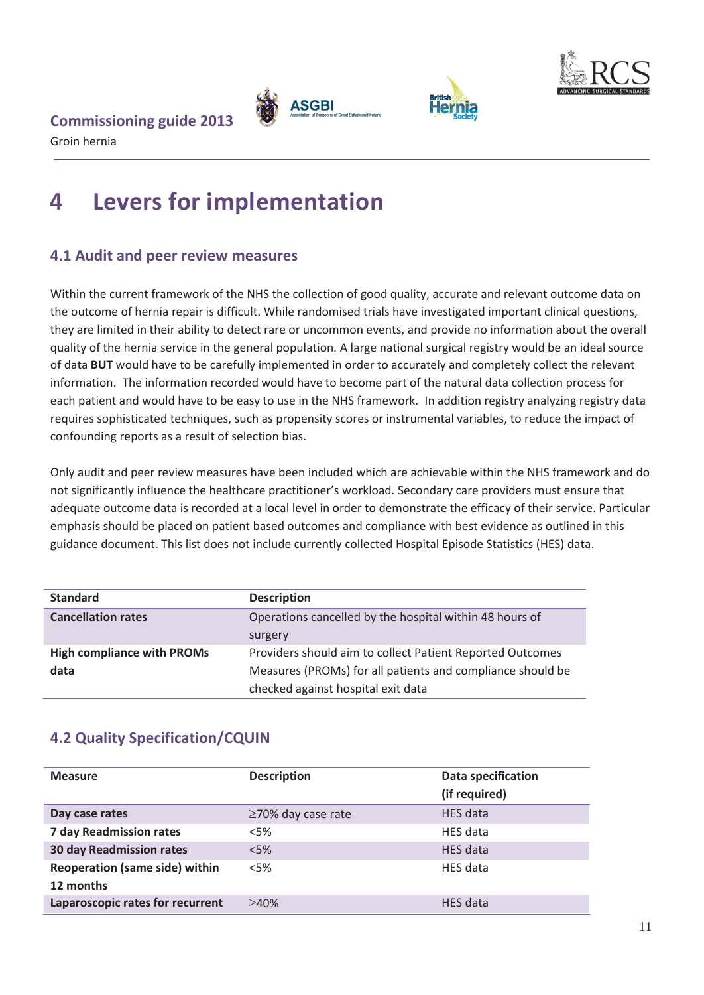

**British**<br>Hernia



#### **Commissioning guide 2013**

Groin hernia

# <span id="page-11-0"></span>**4 Levers for implementation**

#### <span id="page-11-1"></span>**4.1 Audit and peer review measures**

Within the current framework of the NHS the collection of good quality, accurate and relevant outcome data on the outcome of hernia repair is difficult. While randomised trials have investigated important clinical questions, they are limited in their ability to detect rare or uncommon events, and provide no information about the overall quality of the hernia service in the general population. A large national surgical registry would be an ideal source of data **BUT** would have to be carefully implemented in order to accurately and completely collect the relevant information. The information recorded would have to become part of the natural data collection process for each patient and would have to be easy to use in the NHS framework. In addition registry analyzing registry data requires sophisticated techniques, such as propensity scores or instrumental variables, to reduce the impact of confounding reports as a result of selection bias.

Only audit and peer review measures have been included which are achievable within the NHS framework and do not significantly influence the healthcare practitioner's workload. Secondary care providers must ensure that adequate outcome data is recorded at a local level in order to demonstrate the efficacy of their service. Particular emphasis should be placed on patient based outcomes and compliance with best evidence as outlined in this guidance document. This list does not include currently collected Hospital Episode Statistics (HES) data.

| <b>Standard</b>                   | <b>Description</b>                                         |  |
|-----------------------------------|------------------------------------------------------------|--|
| <b>Cancellation rates</b>         | Operations cancelled by the hospital within 48 hours of    |  |
|                                   | surgery                                                    |  |
| <b>High compliance with PROMs</b> | Providers should aim to collect Patient Reported Outcomes  |  |
| data                              | Measures (PROMs) for all patients and compliance should be |  |
|                                   | checked against hospital exit data                         |  |

#### <span id="page-11-2"></span>**4.2 Quality Specification/CQUIN**

| <b>Measure</b>                                     | <b>Description</b>       | <b>Data specification</b><br>(if required) |
|----------------------------------------------------|--------------------------|--------------------------------------------|
| Day case rates                                     | $\geq$ 70% day case rate | HES data                                   |
| <b>7 day Readmission rates</b>                     | <5%                      | HES data                                   |
| <b>30 day Readmission rates</b>                    | $<$ 5%                   | HES data                                   |
| <b>Reoperation (same side) within</b><br>12 months | <5%                      | HES data                                   |
| Laparoscopic rates for recurrent                   | >40%                     | <b>HES</b> data                            |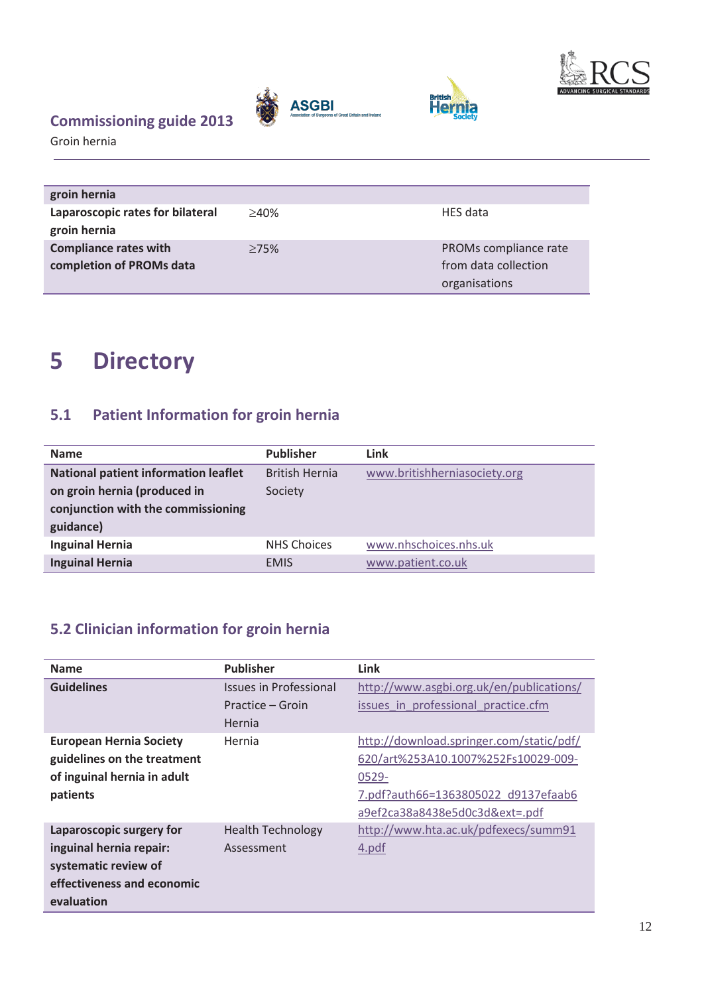

Groin hernia

| <b>ASGBI</b><br>Association of Surgeons of Great Britain and Ireland |
|----------------------------------------------------------------------|
|                                                                      |

**British**<br>Hernia



# <span id="page-12-0"></span>**5 Directory**

#### <span id="page-12-1"></span>**5.1 Patient Information for groin hernia**

| <b>Name</b>                                 | <b>Publisher</b>      | Link                         |
|---------------------------------------------|-----------------------|------------------------------|
| <b>National patient information leaflet</b> | <b>British Hernia</b> | www.britishherniasociety.org |
| on groin hernia (produced in                | Society               |                              |
| conjunction with the commissioning          |                       |                              |
| guidance)                                   |                       |                              |
| <b>Inguinal Hernia</b>                      | <b>NHS Choices</b>    | www.nhschoices.nhs.uk        |
| <b>Inguinal Hernia</b>                      | <b>EMIS</b>           | www.patient.co.uk            |

#### <span id="page-12-2"></span>**5.2 Clinician information for groin hernia**

| <b>Name</b>                    | <b>Publisher</b>              | Link                                     |
|--------------------------------|-------------------------------|------------------------------------------|
| <b>Guidelines</b>              | <b>Issues in Professional</b> | http://www.asgbi.org.uk/en/publications/ |
|                                | Practice – Groin              | issues in professional practice.cfm      |
|                                | Hernia                        |                                          |
| <b>European Hernia Society</b> | Hernia                        | http://download.springer.com/static/pdf/ |
| guidelines on the treatment    |                               | 620/art%253A10.1007%252Fs10029-009-      |
| of inguinal hernia in adult    |                               | 0529-                                    |
| patients                       |                               | 7.pdf?auth66=1363805022 d9137efaab6      |
|                                |                               | a9ef2ca38a8438e5d0c3d&ext=.pdf           |
| Laparoscopic surgery for       | <b>Health Technology</b>      | http://www.hta.ac.uk/pdfexecs/summ91     |
| inguinal hernia repair:        | Assessment                    | 4.pdf                                    |
| systematic review of           |                               |                                          |
| effectiveness and economic     |                               |                                          |
| evaluation                     |                               |                                          |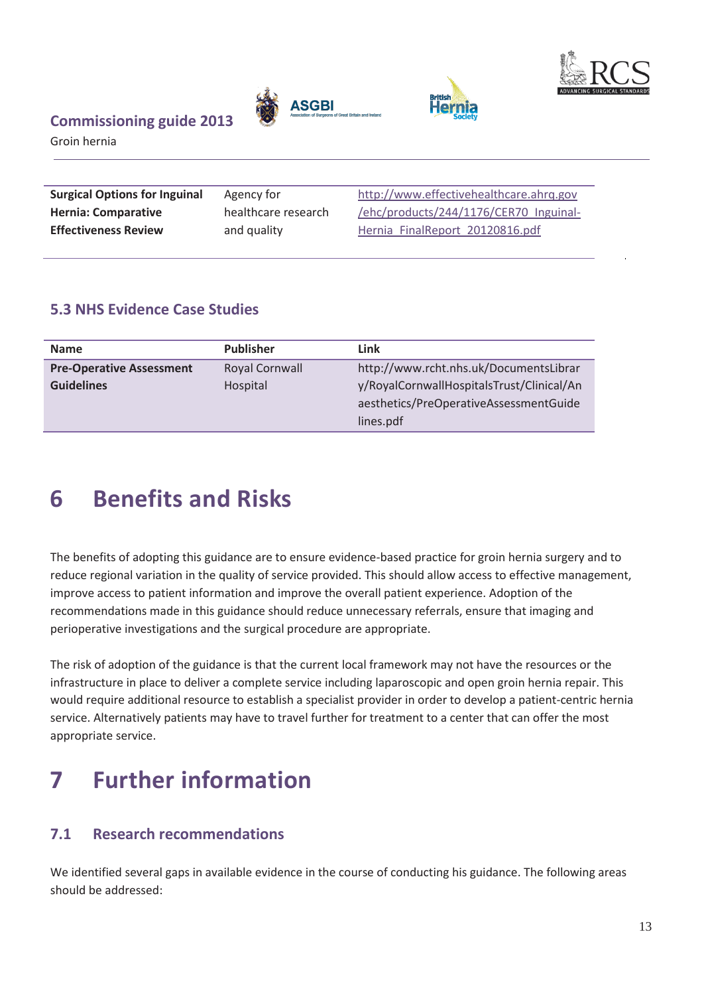



**British** 

Groin hernia

| <b>Surgical Options for Inguinal</b> | Agency for          | http://www.effectivehealthcare.ahrg.gov |
|--------------------------------------|---------------------|-----------------------------------------|
| <b>Hernia: Comparative</b>           | healthcare research | /ehc/products/244/1176/CER70 Inguinal-  |
| <b>Effectiveness Review</b>          | and quality         | Hernia FinalReport 20120816.pdf         |

#### <span id="page-13-0"></span>**5.3 NHS Evidence Case Studies**

| <b>Name</b>                     | <b>Publisher</b>      | Link                                      |
|---------------------------------|-----------------------|-------------------------------------------|
| <b>Pre-Operative Assessment</b> | <b>Royal Cornwall</b> | http://www.rcht.nhs.uk/DocumentsLibrar    |
| <b>Guidelines</b>               | Hospital              | y/RoyalCornwallHospitalsTrust/Clinical/An |
|                                 |                       | aesthetics/PreOperativeAssessmentGuide    |
|                                 |                       | lines.pdf                                 |

# <span id="page-13-1"></span>**6 Benefits and Risks**

The benefits of adopting this guidance are to ensure evidence-based practice for groin hernia surgery and to reduce regional variation in the quality of service provided. This should allow access to effective management, improve access to patient information and improve the overall patient experience. Adoption of the recommendations made in this guidance should reduce unnecessary referrals, ensure that imaging and perioperative investigations and the surgical procedure are appropriate.

The risk of adoption of the guidance is that the current local framework may not have the resources or the infrastructure in place to deliver a complete service including laparoscopic and open groin hernia repair. This would require additional resource to establish a specialist provider in order to develop a patient-centric hernia service. Alternatively patients may have to travel further for treatment to a center that can offer the most appropriate service.

# <span id="page-13-2"></span>**7 Further information**

#### <span id="page-13-3"></span>**7.1 Research recommendations**

We identified several gaps in available evidence in the course of conducting his guidance. The following areas should be addressed: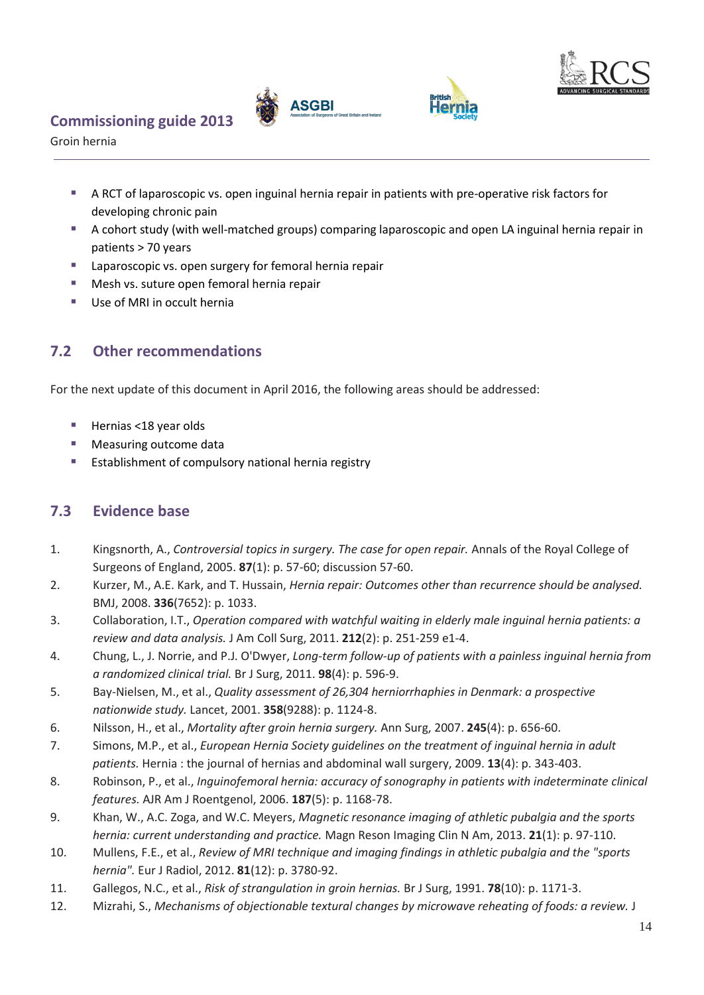





Groin hernia

- A RCT of laparoscopic vs. open inguinal hernia repair in patients with pre-operative risk factors for developing chronic pain
- A cohort study (with well-matched groups) comparing laparoscopic and open LA inguinal hernia repair in patients > 70 years
- Laparoscopic vs. open surgery for femoral hernia repair
- **Mesh vs. suture open femoral hernia repair**
- Use of MRI in occult hernia

#### <span id="page-14-0"></span>**7.2 Other recommendations**

For the next update of this document in April 2016, the following areas should be addressed:

- Hernias <18 year olds
- **Measuring outcome data**
- <span id="page-14-1"></span>**Establishment of compulsory national hernia registry**

#### **7.3 Evidence base**

- 1. Kingsnorth, A., *Controversial topics in surgery. The case for open repair.* Annals of the Royal College of Surgeons of England, 2005. **87**(1): p. 57-60; discussion 57-60.
- 2. Kurzer, M., A.E. Kark, and T. Hussain, *Hernia repair: Outcomes other than recurrence should be analysed.* BMJ, 2008. **336**(7652): p. 1033.
- 3. Collaboration, I.T., *Operation compared with watchful waiting in elderly male inguinal hernia patients: a review and data analysis.* J Am Coll Surg, 2011. **212**(2): p. 251-259 e1-4.
- 4. Chung, L., J. Norrie, and P.J. O'Dwyer, *Long-term follow-up of patients with a painless inguinal hernia from a randomized clinical trial.* Br J Surg, 2011. **98**(4): p. 596-9.
- 5. Bay-Nielsen, M., et al., *Quality assessment of 26,304 herniorrhaphies in Denmark: a prospective nationwide study.* Lancet, 2001. **358**(9288): p. 1124-8.
- 6. Nilsson, H., et al., *Mortality after groin hernia surgery.* Ann Surg, 2007. **245**(4): p. 656-60.
- 7. Simons, M.P., et al., *European Hernia Society guidelines on the treatment of inguinal hernia in adult patients.* Hernia : the journal of hernias and abdominal wall surgery, 2009. **13**(4): p. 343-403.
- 8. Robinson, P., et al., *Inguinofemoral hernia: accuracy of sonography in patients with indeterminate clinical features.* AJR Am J Roentgenol, 2006. **187**(5): p. 1168-78.
- 9. Khan, W., A.C. Zoga, and W.C. Meyers, *Magnetic resonance imaging of athletic pubalgia and the sports hernia: current understanding and practice.* Magn Reson Imaging Clin N Am, 2013. **21**(1): p. 97-110.
- 10. Mullens, F.E., et al., *Review of MRI technique and imaging findings in athletic pubalgia and the "sports hernia".* Eur J Radiol, 2012. **81**(12): p. 3780-92.
- 11. Gallegos, N.C., et al., *Risk of strangulation in groin hernias.* Br J Surg, 1991. **78**(10): p. 1171-3.
- 12. Mizrahi, S., *Mechanisms of objectionable textural changes by microwave reheating of foods: a review.* J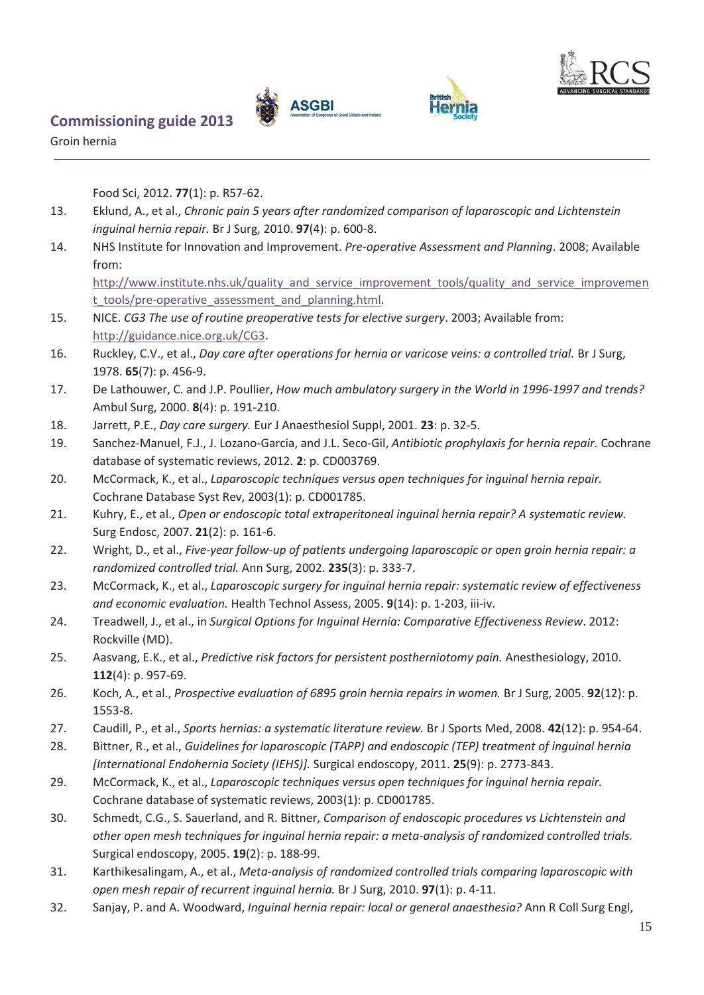





Groin hernia

Food Sci, 2012. **77**(1): p. R57-62.

- 13. Eklund, A., et al., *Chronic pain 5 years after randomized comparison of laparoscopic and Lichtenstein inguinal hernia repair.* Br J Surg, 2010. **97**(4): p. 600-8.
- 14. NHS Institute for Innovation and Improvement. *Pre-operative Assessment and Planning*. 2008; Available from:

[http://www.institute.nhs.uk/quality\\_and\\_service\\_improvement\\_tools/quality\\_and\\_service\\_improvemen](http://www.institute.nhs.uk/quality_and_service_improvement_tools/quality_and_service_improvement_tools/pre-operative_assessment_and_planning.html) [t\\_tools/pre-operative\\_assessment\\_and\\_planning.html.](http://www.institute.nhs.uk/quality_and_service_improvement_tools/quality_and_service_improvement_tools/pre-operative_assessment_and_planning.html)

- 15. NICE. *CG3 The use of routine preoperative tests for elective surgery*. 2003; Available from: [http://guidance.nice.org.uk/CG3.](http://guidance.nice.org.uk/CG3)
- 16. Ruckley, C.V., et al., *Day care after operations for hernia or varicose veins: a controlled trial.* Br J Surg, 1978. **65**(7): p. 456-9.
- 17. De Lathouwer, C. and J.P. Poullier, *How much ambulatory surgery in the World in 1996-1997 and trends?* Ambul Surg, 2000. **8**(4): p. 191-210.
- 18. Jarrett, P.E., *Day care surgery.* Eur J Anaesthesiol Suppl, 2001. **23**: p. 32-5.
- 19. Sanchez-Manuel, F.J., J. Lozano-Garcia, and J.L. Seco-Gil, *Antibiotic prophylaxis for hernia repair.* Cochrane database of systematic reviews, 2012. **2**: p. CD003769.
- 20. McCormack, K., et al., *Laparoscopic techniques versus open techniques for inguinal hernia repair.* Cochrane Database Syst Rev, 2003(1): p. CD001785.
- 21. Kuhry, E., et al., *Open or endoscopic total extraperitoneal inguinal hernia repair? A systematic review.* Surg Endosc, 2007. **21**(2): p. 161-6.
- 22. Wright, D., et al., *Five-year follow-up of patients undergoing laparoscopic or open groin hernia repair: a randomized controlled trial.* Ann Surg, 2002. **235**(3): p. 333-7.
- 23. McCormack, K., et al., *Laparoscopic surgery for inguinal hernia repair: systematic review of effectiveness and economic evaluation.* Health Technol Assess, 2005. **9**(14): p. 1-203, iii-iv.
- 24. Treadwell, J., et al., in *Surgical Options for Inguinal Hernia: Comparative Effectiveness Review*. 2012: Rockville (MD).
- 25. Aasvang, E.K., et al., *Predictive risk factors for persistent postherniotomy pain.* Anesthesiology, 2010. **112**(4): p. 957-69.
- 26. Koch, A., et al., *Prospective evaluation of 6895 groin hernia repairs in women.* Br J Surg, 2005. **92**(12): p. 1553-8.
- 27. Caudill, P., et al., *Sports hernias: a systematic literature review.* Br J Sports Med, 2008. **42**(12): p. 954-64.
- 28. Bittner, R., et al., *Guidelines for laparoscopic (TAPP) and endoscopic (TEP) treatment of inguinal hernia [International Endohernia Society (IEHS)].* Surgical endoscopy, 2011. **25**(9): p. 2773-843.
- 29. McCormack, K., et al., *Laparoscopic techniques versus open techniques for inguinal hernia repair.* Cochrane database of systematic reviews, 2003(1): p. CD001785.
- 30. Schmedt, C.G., S. Sauerland, and R. Bittner, *Comparison of endoscopic procedures vs Lichtenstein and other open mesh techniques for inguinal hernia repair: a meta-analysis of randomized controlled trials.* Surgical endoscopy, 2005. **19**(2): p. 188-99.
- 31. Karthikesalingam, A., et al., *Meta-analysis of randomized controlled trials comparing laparoscopic with open mesh repair of recurrent inguinal hernia.* Br J Surg, 2010. **97**(1): p. 4-11.
- 32. Sanjay, P. and A. Woodward, *Inguinal hernia repair: local or general anaesthesia?* Ann R Coll Surg Engl,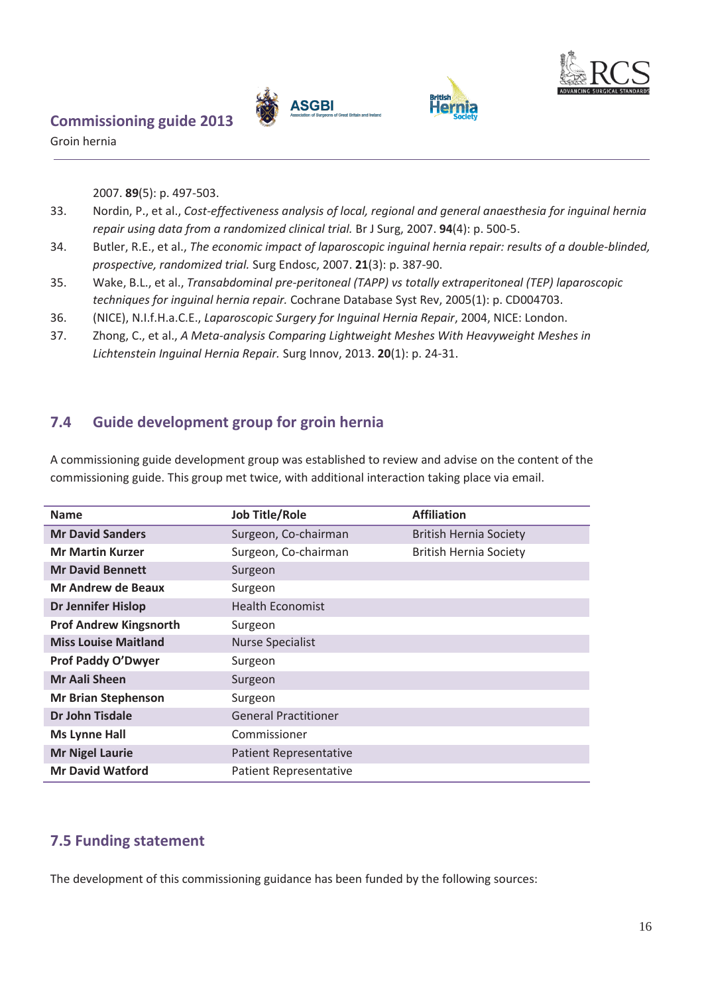



Groin hernia

2007. **89**(5): p. 497-503.

- 33. Nordin, P., et al., *Cost-effectiveness analysis of local, regional and general anaesthesia for inguinal hernia repair using data from a randomized clinical trial.* Br J Surg, 2007. **94**(4): p. 500-5.
- 34. Butler, R.E., et al., *The economic impact of laparoscopic inguinal hernia repair: results of a double-blinded, prospective, randomized trial.* Surg Endosc, 2007. **21**(3): p. 387-90.
- 35. Wake, B.L., et al., *Transabdominal pre-peritoneal (TAPP) vs totally extraperitoneal (TEP) laparoscopic techniques for inguinal hernia repair.* Cochrane Database Syst Rev, 2005(1): p. CD004703.
- 36. (NICE), N.I.f.H.a.C.E., *Laparoscopic Surgery for Inguinal Hernia Repair*, 2004, NICE: London.
- 37. Zhong, C., et al., *A Meta-analysis Comparing Lightweight Meshes With Heavyweight Meshes in Lichtenstein Inguinal Hernia Repair.* Surg Innov, 2013. **20**(1): p. 24-31.

#### <span id="page-16-0"></span>**7.4 Guide development group for groin hernia**

A commissioning guide development group was established to review and advise on the content of the commissioning guide. This group met twice, with additional interaction taking place via email.

| <b>Name</b>                   | <b>Job Title/Role</b>         | <b>Affiliation</b>            |
|-------------------------------|-------------------------------|-------------------------------|
| <b>Mr David Sanders</b>       | Surgeon, Co-chairman          | <b>British Hernia Society</b> |
| <b>Mr Martin Kurzer</b>       | Surgeon, Co-chairman          | <b>British Hernia Society</b> |
| <b>Mr David Bennett</b>       | Surgeon                       |                               |
| Mr Andrew de Beaux            | Surgeon                       |                               |
| <b>Dr Jennifer Hislop</b>     | <b>Health Economist</b>       |                               |
| <b>Prof Andrew Kingsnorth</b> | Surgeon                       |                               |
| <b>Miss Louise Maitland</b>   | <b>Nurse Specialist</b>       |                               |
| <b>Prof Paddy O'Dwyer</b>     | Surgeon                       |                               |
| <b>Mr Aali Sheen</b>          | Surgeon                       |                               |
| <b>Mr Brian Stephenson</b>    | Surgeon                       |                               |
| <b>Dr John Tisdale</b>        | <b>General Practitioner</b>   |                               |
| <b>Ms Lynne Hall</b>          | Commissioner                  |                               |
| <b>Mr Nigel Laurie</b>        | <b>Patient Representative</b> |                               |
| <b>Mr David Watford</b>       | <b>Patient Representative</b> |                               |

#### <span id="page-16-1"></span>**7.5 Funding statement**

The development of this commissioning guidance has been funded by the following sources: